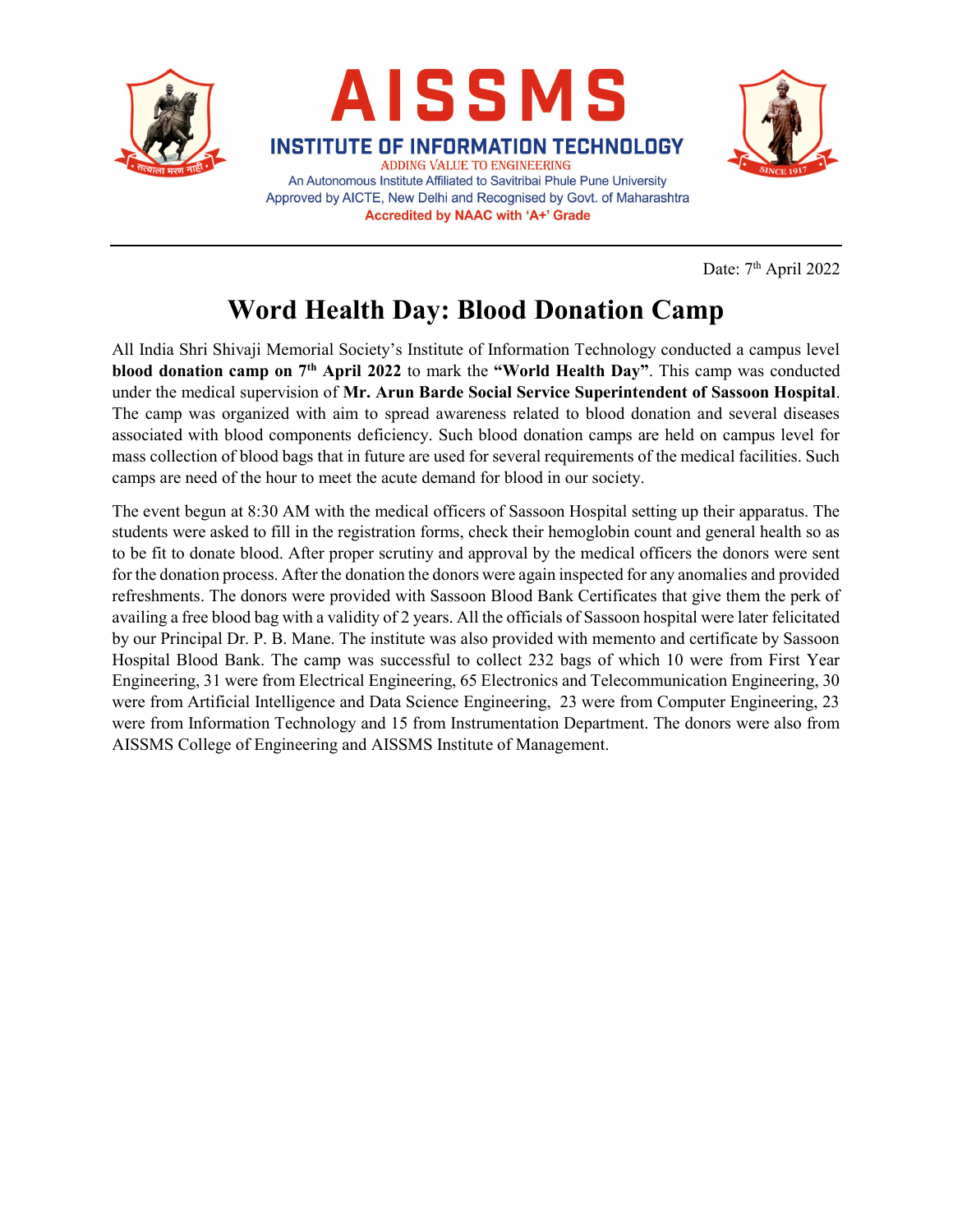





Date: 7<sup>th</sup> April 2022

## Word Health Day: Blood Donation Camp

**Accredited by NAAC with 'A+' Grade** 

All India Shri Shivaji Memorial Society's Institute of Information Technology conducted a campus level blood donation camp on 7th April 2022 to mark the "World Health Day". This camp was conducted under the medical supervision of Mr. Arun Barde Social Service Superintendent of Sassoon Hospital. The camp was organized with aim to spread awareness related to blood donation and several diseases associated with blood components deficiency. Such blood donation camps are held on campus level for mass collection of blood bags that in future are used for several requirements of the medical facilities. Such camps are need of the hour to meet the acute demand for blood in our society.

The event begun at 8:30 AM with the medical officers of Sassoon Hospital setting up their apparatus. The students were asked to fill in the registration forms, check their hemoglobin count and general health so as to be fit to donate blood. After proper scrutiny and approval by the medical officers the donors were sent for the donation process. After the donation the donors were again inspected for any anomalies and provided refreshments. The donors were provided with Sassoon Blood Bank Certificates that give them the perk of availing a free blood bag with a validity of 2 years. All the officials of Sassoon hospital were later felicitated by our Principal Dr. P. B. Mane. The institute was also provided with memento and certificate by Sassoon Hospital Blood Bank. The camp was successful to collect 232 bags of which 10 were from First Year Engineering, 31 were from Electrical Engineering, 65 Electronics and Telecommunication Engineering, 30 were from Artificial Intelligence and Data Science Engineering, 23 were from Computer Engineering, 23 were from Information Technology and 15 from Instrumentation Department. The donors were also from AISSMS College of Engineering and AISSMS Institute of Management.